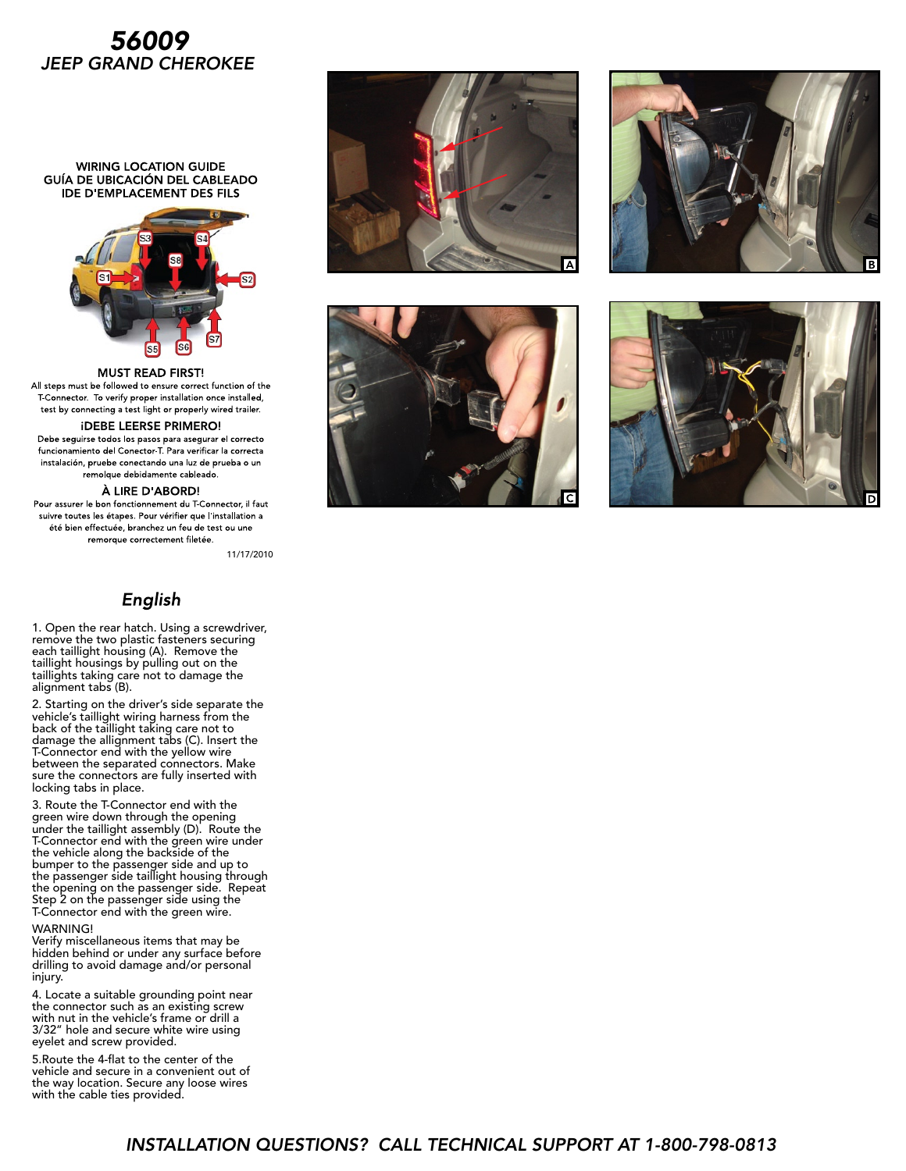# *56009 JEEP GRAND CHEROKEE*

**WIRING LOCATION GUIDE** GUÍA DE UBICACIÓN DEL CABLEADO **IDE D'EMPLACEMENT DES FILS** 



**MUST READ FIRST!** All steps must be followed to ensure correct function of the T Connector. To verify proper installation once installed, test by connecting a test light or properly wired trailer.

### **IDEBE LEERSE PRIMERO!**

Debe seguirse todos los pasos para asegurar el correcto funcionamiento del Conector T. Para verificar la correcta instalación, pruebe conectando una luz de prueba o un remolque debidamente cableado.

#### À LIRE D'ABORD!

Pour assurer le bon fonctionnement du T-Connector, il faut suivre toutes les étapes. Pour vérifier que l'installation a été bien effectuée, branchez un feu de test ou une remorque correctement filetée.

11/17/2010

## English

1. Open the rear hatch. Using a screwdriver, remove the two plastic fasteners securing each taillight housing (A). Remove the taillight housings by pulling out on the taillights taking care not to damage the alignment tabs (B).

2. Starting on the driver's side separate the vehicle's taillight wiring harness from the back of the taillight taking care not to damage the allignment tabs (C). Insert the T-Connector end with the yellow wire between the separated connectors. Make sure the connectors are fully inserted with locking tabs in place.

3. Route the T-Connector end with the green wire down through the opening under the taillight assembly (D). Route the T-Connector end with the green wire under the vehicle along the backside of the bumper to the passenger side and up to the passenger side taillight housing through the opening on the passenger side. Repeat Step 2 on the passenger side using the T-Connector end with the green wire.

#### WARNING!

Verify miscellaneous items that may be hidden behind or under any surface before drilling to avoid damage and/or personal injury.

4. Locate a suitable grounding point near the connector such as an existing screw with nut in the vehicle's frame or drill a 3/32" hole and secure white wire using eyelet and screw provided.

5.Route the 4-flat to the center of the vehicle and secure in a convenient out of the way location. Secure any loose wires with the cable ties provided.